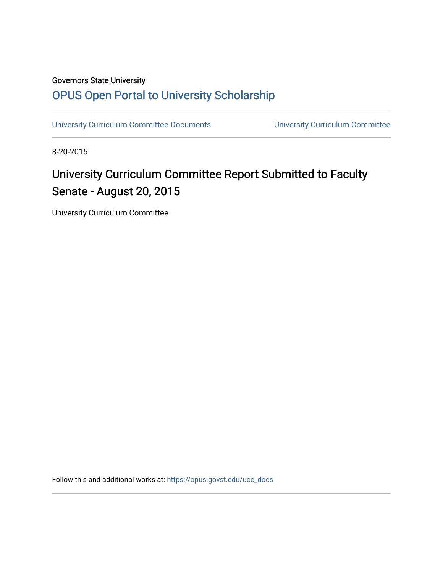## Governors State University [OPUS Open Portal to University Scholarship](https://opus.govst.edu/)

[University Curriculum Committee Documents](https://opus.govst.edu/ucc_docs) [University Curriculum Committee](https://opus.govst.edu/ucc) 

8-20-2015

# University Curriculum Committee Report Submitted to Faculty Senate - August 20, 2015

University Curriculum Committee

Follow this and additional works at: [https://opus.govst.edu/ucc\\_docs](https://opus.govst.edu/ucc_docs?utm_source=opus.govst.edu%2Fucc_docs%2F5&utm_medium=PDF&utm_campaign=PDFCoverPages)